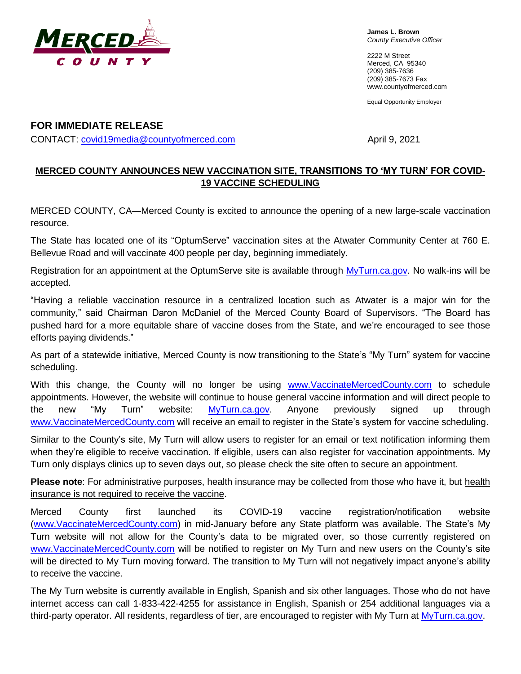

**James L. Brown** *County Executive Officer*

2222 M Street Merced, CA 95340 (209) 385-7636 (209) 385-7673 Fax [www.countyofmerced.com](http://www.co.merced.ca.us/)

Equal Opportunity Employer

## **FOR IMMEDIATE RELEASE** CONTACT: [covid19media@countyofmerced.com](mailto:covid19media@countyofmerced.com) example and april 9, 2021

## **MERCED COUNTY ANNOUNCES NEW VACCINATION SITE, TRANSITIONS TO 'MY TURN' FOR COVID-19 VACCINE SCHEDULING**

MERCED COUNTY, CA—Merced County is excited to announce the opening of a new large-scale vaccination resource.

The State has located one of its "OptumServe" vaccination sites at the Atwater Community Center at 760 E. Bellevue Road and will vaccinate 400 people per day, beginning immediately.

Registration for an appointment at the OptumServe site is available through [MyTurn.ca.gov.](MyTurn.ca.gov) No walk-ins will be accepted.

"Having a reliable vaccination resource in a centralized location such as Atwater is a major win for the community," said Chairman Daron McDaniel of the Merced County Board of Supervisors. "The Board has pushed hard for a more equitable share of vaccine doses from the State, and we're encouraged to see those efforts paying dividends."

As part of a statewide initiative, Merced County is now transitioning to the State's "My Turn" system for vaccine scheduling.

With this change, the County will no longer be using [www.VaccinateMercedCounty.com](http://www.vaccinatemercedcounty.com/) to schedule appointments. However, the website will continue to house general vaccine information and will direct people to the new "My Turn" website: [MyTurn.ca.gov.](myturn.ca.gov) Anyone previously signed up through [www.VaccinateMercedCounty.com](http://www.vaccinatemercedcounty.com/) will receive an email to register in the State's system for vaccine scheduling.

Similar to the County's site, My Turn will allow users to register for an email or text notification informing them when they're eligible to receive vaccination. If eligible, users can also register for vaccination appointments. My Turn only displays clinics up to seven days out, so please check the site often to secure an appointment.

Please note: For administrative purposes, health insurance may be collected from those who have it, but health insurance is not required to receive the vaccine.

Merced County first launched its COVID-19 vaccine registration/notification website [\(www.VaccinateMercedCounty.com\)](http://www.vaccinatemercedcounty.com/) in mid-January before any State platform was available. The State's My Turn website will not allow for the County's data to be migrated over, so those currently registered on [www.VaccinateMercedCounty.com](http://www.vaccinatemercedcounty.com/) will be notified to register on My Turn and new users on the County's site will be directed to My Turn moving forward. The transition to My Turn will not negatively impact anyone's ability to receive the vaccine.

The My Turn website is currently available in English, Spanish and six other languages. Those who do not have internet access can call 1-833-422-4255 for assistance in English, Spanish or 254 additional languages via a third-party operator. All residents, regardless of tier, are encouraged to register with My Turn at [MyTurn.ca.gov.](myturn.ca.gov)